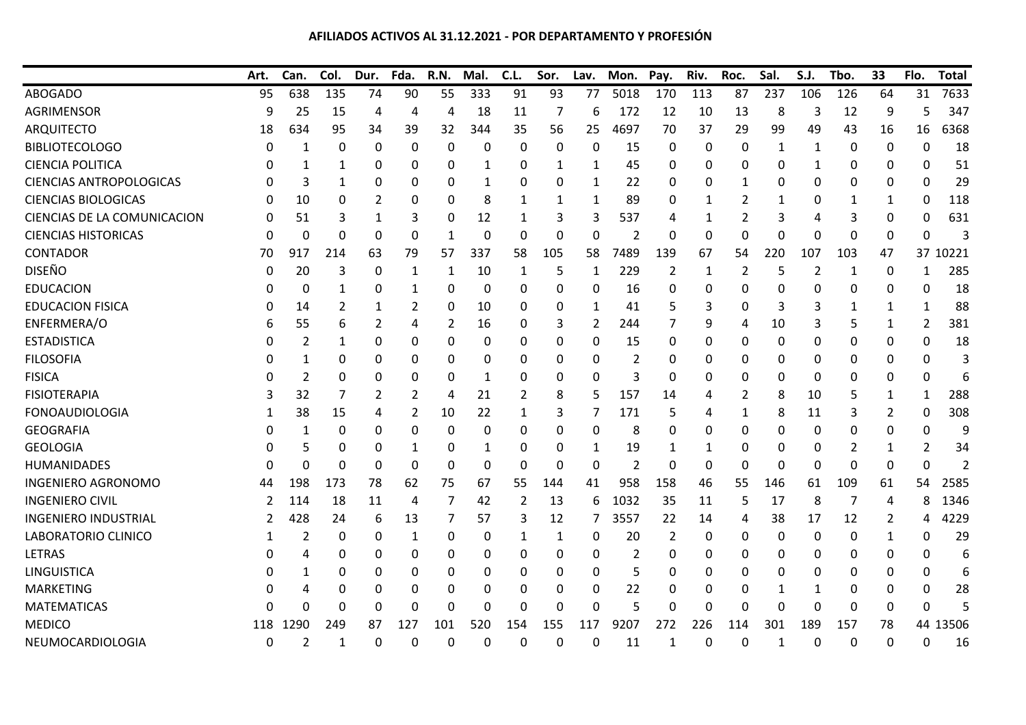## **AFILIADOS ACTIVOS AL 31.12.2021 - POR DEPARTAMENTO Y PROFESIÓN**

|                                | Art. | Can.           | Col.         | Dur.        | Fda.     | R.N.         | Mal.             | C.L.     | Sor.         | Lav.         | Mon. | Pay.         | Riv.        | Roc.           | Sal.         | S.J.           | Tbo. | 33             | Flo.     | <b>Total</b> |
|--------------------------------|------|----------------|--------------|-------------|----------|--------------|------------------|----------|--------------|--------------|------|--------------|-------------|----------------|--------------|----------------|------|----------------|----------|--------------|
| <b>ABOGADO</b>                 | 95   | 638            | 135          | 74          | 90       | 55           | 333              | 91       | 93           | 77           | 5018 | 170          | 113         | 87             | 237          | 106            | 126  | 64             | 31       | 7633         |
| <b>AGRIMENSOR</b>              | 9    | 25             | 15           | 4           | 4        | 4            | 18               | 11       | 7            | 6            | 172  | 12           | 10          | 13             | 8            | 3              | 12   | 9              | 5        | 347          |
| <b>ARQUITECTO</b>              | 18   | 634            | 95           | 34          | 39       | 32           | 344              | 35       | 56           | 25           | 4697 | 70           | 37          | 29             | 99           | 49             | 43   | 16             | 16       | 6368         |
| <b>BIBLIOTECOLOGO</b>          | 0    | 1              | 0            | 0           | 0        | 0            | 0                | 0        | 0            | 0            | 15   | 0            | 0           | 0              | 1            | 1              | 0    | 0              | 0        | 18           |
| <b>CIENCIA POLITICA</b>        | ი    | 1              | 1            | 0           | 0        | 0            | 1                | 0        | 1            | 1            | 45   | 0            | 0           | 0              | 0            | 1              | 0    | 0              | 0        | 51           |
| <b>CIENCIAS ANTROPOLOGICAS</b> | ი    | 3              | 1            | 0           | 0        | 0            | 1                | 0        | 0            | 1            | 22   | 0            | 0           | 1              | 0            | 0              | 0    | 0              | 0        | 29           |
| <b>CIENCIAS BIOLOGICAS</b>     | 0    | 10             | 0            | 2           | 0        | 0            | 8                | 1        | 1            | 1            | 89   | 0            | 1           | 2              | 1            | 0              | 1    | 1              | 0        | 118          |
| CIENCIAS DE LA COMUNICACION    | 0    | 51             | 3            | 1           | 3        | 0            | 12               | 1        | 3            | 3            | 537  | 4            | 1           | 2              | 3            | 4              | 3    | 0              | 0        | 631          |
| <b>CIENCIAS HISTORICAS</b>     | 0    | $\Omega$       | $\mathbf{0}$ | 0           | 0        | 1            | 0                | $\Omega$ | 0            | $\mathbf{0}$ | 2    | $\mathbf{0}$ | 0           | $\Omega$       | $\mathbf{0}$ | $\mathbf 0$    | 0    | 0              | $\Omega$ | Α            |
| <b>CONTADOR</b>                | 70   | 917            | 214          | 63          | 79       | 57           | 337              | 58       | 105          | 58           | 7489 | 139          | 67          | 54             | 220          | 107            | 103  | 47             | 37       | 10221        |
| <b>DISEÑO</b>                  | 0    | 20             | 3            | 0           | 1        | 1            | 10               | 1        | 5            | 1            | 229  | 2            | 1           | $\overline{2}$ | 5            | $\overline{2}$ | 1    | $\mathbf 0$    | 1        | 285          |
| <b>EDUCACION</b>               | 0    | 0              | $\mathbf{1}$ | 0           |          | 0            | $\boldsymbol{0}$ | 0        | 0            | $\mathbf{0}$ | 16   | 0            | 0           | 0              | 0            | 0              | 0    | 0              | 0        | 18           |
| <b>EDUCACION FISICA</b>        | 0    | 14             | 2            | 1           | 2        | 0            | 10               | 0        | 0            | 1            | 41   | 5            | 3           | 0              | 3            | 3              | 1    | 1              | 1        | 88           |
| ENFERMERA/O                    | 6    | 55             | 6            | 2           | 4        | 2            | 16               | 0        | 3            | 2            | 244  | 7            | 9           | 4              | 10           | 3              | 5    | 1              | 2        | 381          |
| <b>ESTADISTICA</b>             | 0    | $\overline{2}$ | 1            | 0           | 0        | 0            | 0                | 0        | 0            | 0            | 15   | 0            | 0           | 0              | 0            | 0              | 0    | 0              | 0        | 18           |
| <b>FILOSOFIA</b>               | 0    | 1              | 0            | 0           | 0        | 0            | 0                | 0        | 0            | $\mathbf{0}$ | 2    | 0            | 0           | 0              | 0            | 0              | 0    | 0              | 0        | 3            |
| <b>FISICA</b>                  | 0    | 2              | 0            | 0           | 0        | 0            | 1                | 0        | 0            | $\Omega$     | 3    | 0            | 0           | 0              | 0            | 0              | 0    | 0              | 0        |              |
| <b>FISIOTERAPIA</b>            | 3    | 32             | 7            | 2           | 2        | 4            | 21               | 2        | 8            | 5            | 157  | 14           | 4           | 2              | 8            | 10             | 5    | 1              | 1        | 288          |
| <b>FONOAUDIOLOGIA</b>          | 1    | 38             | 15           | 4           | 2        | 10           | 22               | 1        | 3            | 7            | 171  | 5            | 4           | 1              | 8            | 11             | 3    | $\overline{2}$ | 0        | 308          |
| <b>GEOGRAFIA</b>               | 0    | 1              | 0            | 0           | 0        | 0            | 0                | 0        | 0            | 0            | 8    | 0            | 0           | 0              | 0            | 0              | 0    | 0              | 0        | 9            |
| <b>GEOLOGIA</b>                | ი    | 5              | 0            | 0           | 1        | 0            | 1                | 0        | 0            | 1            | 19   | 1            | 1           | 0              | 0            | 0              | 2    | 1              | 2        | 34           |
| HUMANIDADES                    | ი    | $\Omega$       | $\mathbf{0}$ | $\Omega$    | $\Omega$ | $\Omega$     | $\Omega$         | $\Omega$ | $\mathbf{0}$ | $\mathbf{0}$ | 2    | 0            | $\mathbf 0$ | $\Omega$       | 0            | $\mathbf 0$    | 0    | 0              | $\Omega$ | ς            |
| <b>INGENIERO AGRONOMO</b>      | 44   | 198            | 173          | 78          | 62       | 75           | 67               | 55       | 144          | 41           | 958  | 158          | 46          | 55             | 146          | 61             | 109  | 61             | 54       | 2585         |
| <b>INGENIERO CIVIL</b>         | 2    | 114            | 18           | 11          | 4        | 7            | 42               | 2        | 13           | 6            | 1032 | 35           | 11          | 5              | 17           | 8              | 7    | 4              | 8        | 1346         |
| <b>INGENIERO INDUSTRIAL</b>    | 2    | 428            | 24           | 6           | 13       | 7            | 57               | 3        | 12           | 7            | 3557 | 22           | 14          | 4              | 38           | 17             | 12   | $\overline{2}$ | 4        | 4229         |
| LABORATORIO CLINICO            | 1    | 2              | 0            | 0           | 1        | 0            | 0                | 1        | 1            | 0            | 20   | 2            | 0           | 0              | 0            | 0              | 0    | 1              | 0        | 29           |
| <b>LETRAS</b>                  | 0    | 4              | 0            | 0           | 0        | 0            | 0                | 0        | 0            | 0            | 2    | 0            | 0           | 0              | 0            | 0              | 0    | 0              | 0        | 6            |
| <b>LINGUISTICA</b>             | O    | 1              | 0            | 0           | 0        | 0            | 0                | 0        | 0            | 0            | 5    | 0            | 0           | 0              | 0            | 0              | 0    | 0              | 0        | 6            |
| <b>MARKETING</b>               | ი    |                | $\Omega$     | 0           | 0        | 0            | 0                | 0        | 0            | 0            | 22   | 0            | 0           | 0              | 1            | 1              | 0    | 0              | 0        | 28           |
| <b>MATEMATICAS</b>             | N    | $\Omega$       | 0            | 0           | 0        | 0            | 0                | 0        | 0            | $\Omega$     | 5    | 0            | 0           | 0              | 0            | 0              | 0    | 0              | 0        |              |
| <b>MEDICO</b>                  | 118  | 1290           | 249          | 87          | 127      | 101          | 520              | 154      | 155          | 117          | 9207 | 272          | 226         | 114            | 301          | 189            | 157  | 78             |          | 44 13506     |
| NEUMOCARDIOLOGIA               | 0    | $\overline{2}$ | $\mathbf{1}$ | $\mathbf 0$ | 0        | $\mathbf{0}$ | $\Omega$         | 0        | $\mathbf{0}$ | 0            | 11   | 1            | 0           | 0              |              | $\mathbf 0$    | 0    | 0              | 0        | 16           |